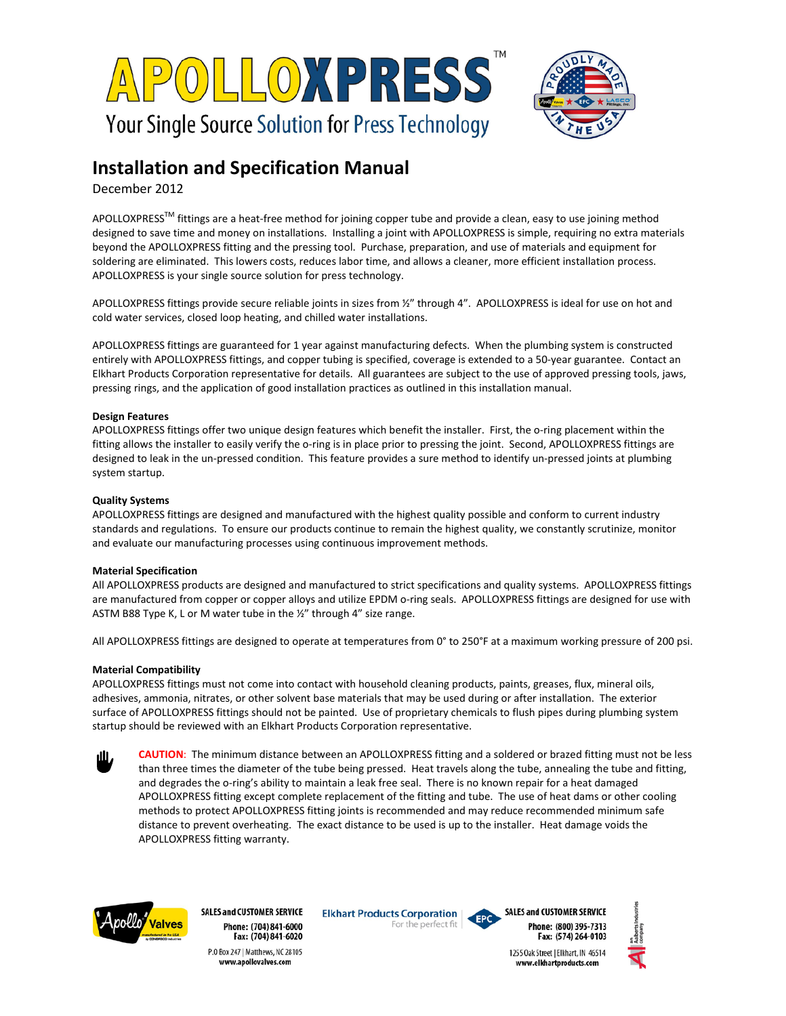



# **Installation and Specification Manual**

December 2012

APOLLOXPRESS<sup>TM</sup> fittings are a heat-free method for joining copper tube and provide a clean, easy to use joining method designed to save time and money on installations. Installing a joint with APOLLOXPRESS is simple, requiring no extra materials beyond the APOLLOXPRESS fitting and the pressing tool. Purchase, preparation, and use of materials and equipment for soldering are eliminated. This lowers costs, reduces labor time, and allows a cleaner, more efficient installation process. APOLLOXPRESS is your single source solution for press technology.

APOLLOXPRESS fittings provide secure reliable joints in sizes from 1/2" through 4". APOLLOXPRESS is ideal for use on hot and cold water services, closed loop heating, and chilled water installations.

APOLLOXPRESS fittings are guaranteed for 1 year against manufacturing defects. When the plumbing system is constructed entirely with APOLLOXPRESS fittings, and copper tubing is specified, coverage is extended to a 50-year guarantee. Contact an Elkhart Products Corporation representative for details. All guarantees are subject to the use of approved pressing tools, jaws, pressing rings, and the application of good installation practices as outlined in this installation manual.

## **Design Features**

APOLLOXPRESS fittings offer two unique design features which benefit the installer. First, the o-ring placement within the fitting allows the installer to easily verify the o-ring is in place prior to pressing the joint. Second, APOLLOXPRESS fittings are designed to leak in the un-pressed condition. This feature provides a sure method to identify un-pressed joints at plumbing system startup.

## **Quality Systems**

APOLLOXPRESS fittings are designed and manufactured with the highest quality possible and conform to current industry standards and regulations. To ensure our products continue to remain the highest quality, we constantly scrutinize, monitor and evaluate our manufacturing processes using continuous improvement methods.

# **Material Specification**

All APOLLOXPRESS products are designed and manufactured to strict specifications and quality systems. APOLLOXPRESS fittings are manufactured from copper or copper alloys and utilize EPDM o-ring seals. APOLLOXPRESS fittings are designed for use with ASTM B88 Type K, L or M water tube in the ½" through 4" size range.

All APOLLOXPRESS fittings are designed to operate at temperatures from 0° to 250°F at a maximum working pressure of 200 psi.

#### **Material Compatibility**

APOLLOXPRESS fittings must not come into contact with household cleaning products, paints, greases, flux, mineral oils, adhesives, ammonia, nitrates, or other solvent base materials that may be used during or after installation. The exterior surface of APOLLOXPRESS fittings should not be painted. Use of proprietary chemicals to flush pipes during plumbing system startup should be reviewed with an Elkhart Products Corporation representative.





**SALES and CUSTOMER SERVICE** Phone: (704) 841-6000 Fax: (704) 841-6020 P.O Box 247 | Matthews, NC 28105 www.apollovalves.com

**Elkhart Products Corporation** For the perfect fit





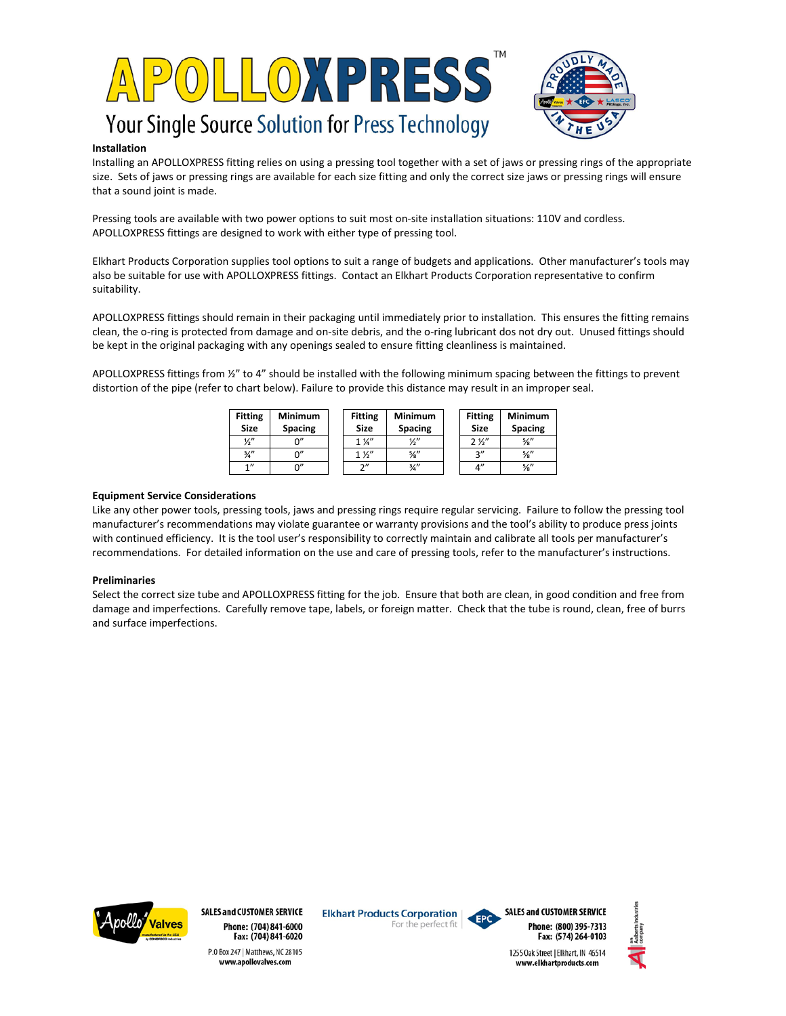



# **Installation**

Installing an APOLLOXPRESS fitting relies on using a pressing tool together with a set of jaws or pressing rings of the appropriate size. Sets of jaws or pressing rings are available for each size fitting and only the correct size jaws or pressing rings will ensure that a sound joint is made.

Pressing tools are available with two power options to suit most on-site installation situations: 110V and cordless. APOLLOXPRESS fittings are designed to work with either type of pressing tool.

Elkhart Products Corporation supplies tool options to suit a range of budgets and applications. Other manufacturer's tools may also be suitable for use with APOLLOXPRESS fittings. Contact an Elkhart Products Corporation representative to confirm suitability.

APOLLOXPRESS fittings should remain in their packaging until immediately prior to installation. This ensures the fitting remains clean, the o-ring is protected from damage and on-site debris, and the o-ring lubricant dos not dry out. Unused fittings should be kept in the original packaging with any openings sealed to ensure fitting cleanliness is maintained.

APOLLOXPRESS fittings from ½" to 4" should be installed with the following minimum spacing between the fittings to prevent distortion of the pipe (refer to chart below). Failure to provide this distance may result in an improper seal.

| <b>Fitting</b><br><b>Size</b> | <b>Minimum</b><br><b>Spacing</b> | <b>Fitting</b><br>Size | <b>Minimum</b><br><b>Spacing</b> | <b>Fitting</b><br>Size | <b>Minimum</b><br><b>Spacing</b> |
|-------------------------------|----------------------------------|------------------------|----------------------------------|------------------------|----------------------------------|
| $\frac{1}{2}$                 | ∩"                               | $1\frac{1}{4}$         | $\frac{1}{2}$                    | 2 <sup>2</sup>         | $\frac{5}{8}$ "                  |
| $\frac{3}{4}$ "               | ሰ"                               | 1 <i>Y</i>             | $\frac{5}{8}$ "                  | 2"                     | $\frac{5}{8}$ "                  |
| 1''                           | ∩"                               | $\gamma$ "             | $\frac{3}{4}$ "                  | 4"                     | $\frac{5}{8}$ "                  |

## **Equipment Service Considerations**

Like any other power tools, pressing tools, jaws and pressing rings require regular servicing. Failure to follow the pressing tool manufacturer's recommendations may violate guarantee or warranty provisions and the tool's ability to produce press joints with continued efficiency. It is the tool user's responsibility to correctly maintain and calibrate all tools per manufacturer's recommendations. For detailed information on the use and care of pressing tools, refer to the manufacturer's instructions.

#### **Preliminaries**

Select the correct size tube and APOLLOXPRESS fitting for the job. Ensure that both are clean, in good condition and free from damage and imperfections. Carefully remove tape, labels, or foreign matter. Check that the tube is round, clean, free of burrs and surface imperfections.



**SALES and CUSTOMER SERVICE** Phone: (704) 841-6000 Fax: (704) 841-6020 P.O Box 247 | Matthews, NC 28105 www.apollovalves.com

**Elkhart Products Corporation** For the perfect fit



**SALES and CUSTOMER SERVICE** Phone: (800) 395-7313 Fax: (574) 264-0103

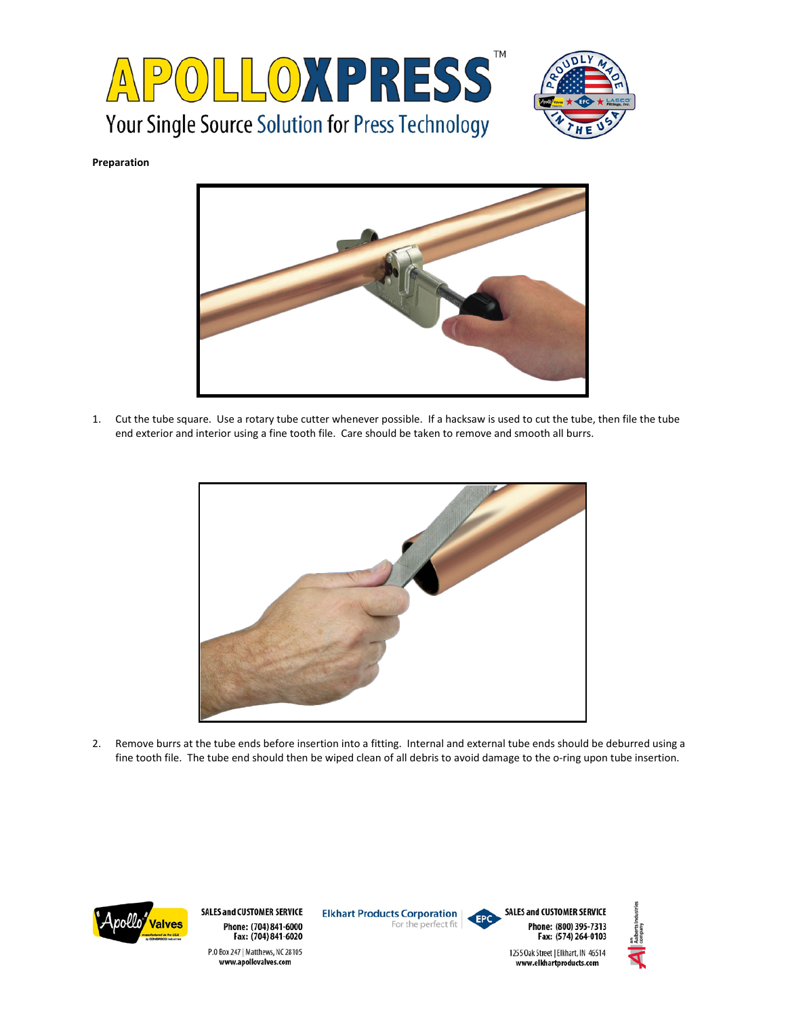



**Preparation**



1. Cut the tube square. Use a rotary tube cutter whenever possible. If a hacksaw is used to cut the tube, then file the tube end exterior and interior using a fine tooth file. Care should be taken to remove and smooth all burrs.



2. Remove burrs at the tube ends before insertion into a fitting. Internal and external tube ends should be deburred using a fine tooth file. The tube end should then be wiped clean of all debris to avoid damage to the o-ring upon tube insertion.

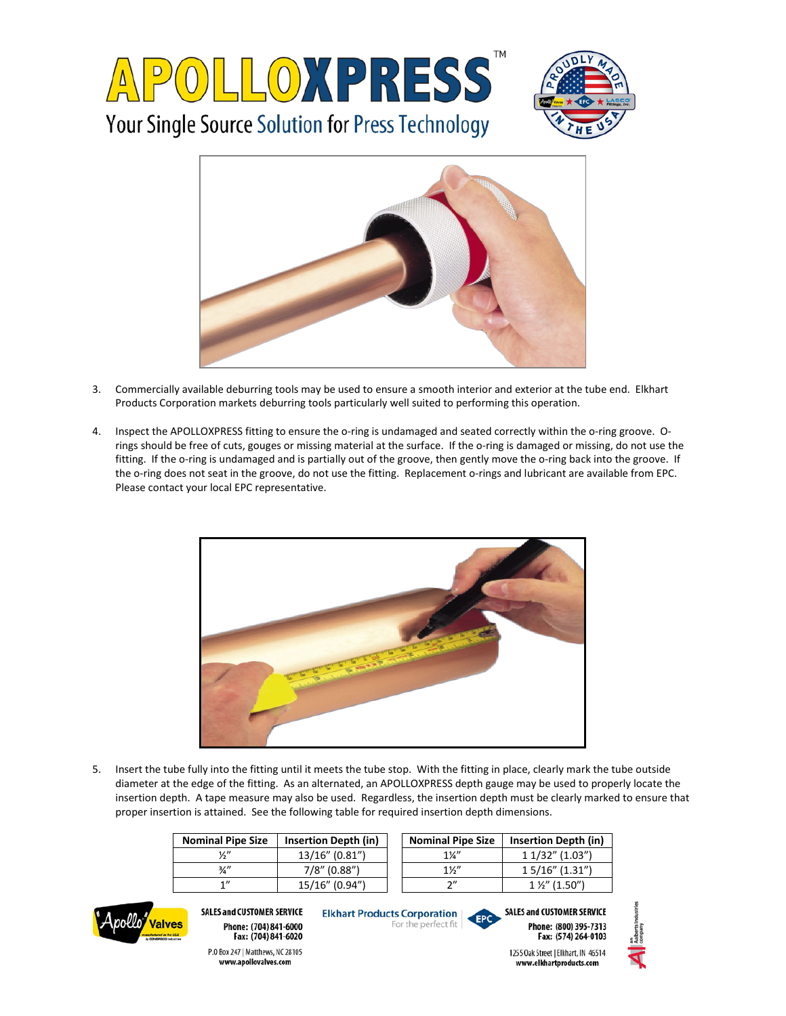



- 3. Commercially available deburring tools may be used to ensure a smooth interior and exterior at the tube end. Elkhart Products Corporation markets deburring tools particularly well suited to performing this operation.
- 4. Inspect the APOLLOXPRESS fitting to ensure the o-ring is undamaged and seated correctly within the o-ring groove. Orings should be free of cuts, gouges or missing material at the surface. If the o-ring is damaged or missing, do not use the fitting. If the o-ring is undamaged and is partially out of the groove, then gently move the o-ring back into the groove. If the o-ring does not seat in the groove, do not use the fitting. Replacement o-rings and lubricant are available from EPC. Please contact your local EPC representative.



5. Insert the tube fully into the fitting until it meets the tube stop. With the fitting in place, clearly mark the tube outside diameter at the edge of the fitting. As an alternated, an APOLLOXPRESS depth gauge may be used to properly locate the insertion depth. A tape measure may also be used. Regardless, the insertion depth must be clearly marked to ensure that proper insertion is attained. See the following table for required insertion depth dimensions.

| <b>Nominal Pipe Size</b> | <b>Insertion Depth (in)</b> | <b>Nominal Pipe Size</b> | Insertion Depth (in)   |
|--------------------------|-----------------------------|--------------------------|------------------------|
| ¼"                       | 13/16" (0.81")              | $1\frac{1}{4}$           | 1 1/32" (1.03")        |
| з/,"                     | $7/8$ " (0.88")             | $1\frac{1}{2}$           | $15/16"$ (1.31")       |
| 1"                       | 15/16" (0.94")              | つ"                       | $1\frac{1}{2}$ (1.50") |



**SALES and CUSTOMER SERVICE** Phone: (704) 841-6000 Fax: (704) 841-6020

P.O Box 247 | Matthews, NC 28105

www.apollovalves.com

**Elkhart Products Corporation** For the perfect fit



**SALES and CUSTOMER SERVICE** Phone: (800) 395-7313 Fax: (574) 264-0103



1255 Oak Street | Elkhart, IN 46514 www.elkhartproducts.com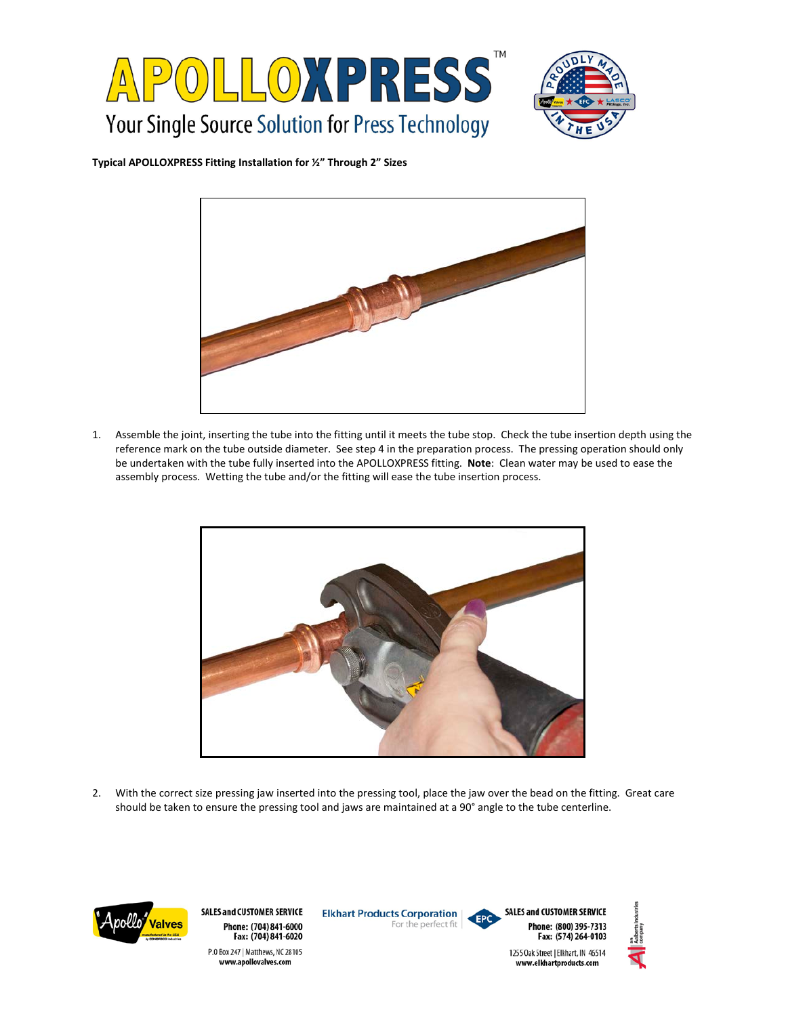



**Typical APOLLOXPRESS Fitting Installation for ½" Through 2" Sizes**



1. Assemble the joint, inserting the tube into the fitting until it meets the tube stop. Check the tube insertion depth using the reference mark on the tube outside diameter. See step 4 in the preparation process. The pressing operation should only be undertaken with the tube fully inserted into the APOLLOXPRESS fitting. **Note**: Clean water may be used to ease the assembly process. Wetting the tube and/or the fitting will ease the tube insertion process.



2. With the correct size pressing jaw inserted into the pressing tool, place the jaw over the bead on the fitting. Great care should be taken to ensure the pressing tool and jaws are maintained at a 90° angle to the tube centerline.



**SALES and CUSTOMER SERVICE** Phone: (704) 841-6000 Fax: (704) 841-6020 P.O Box 247 | Matthews, NC 28105 www.apollovalves.com

**Elkhart Products Corporation** For the perfect fit





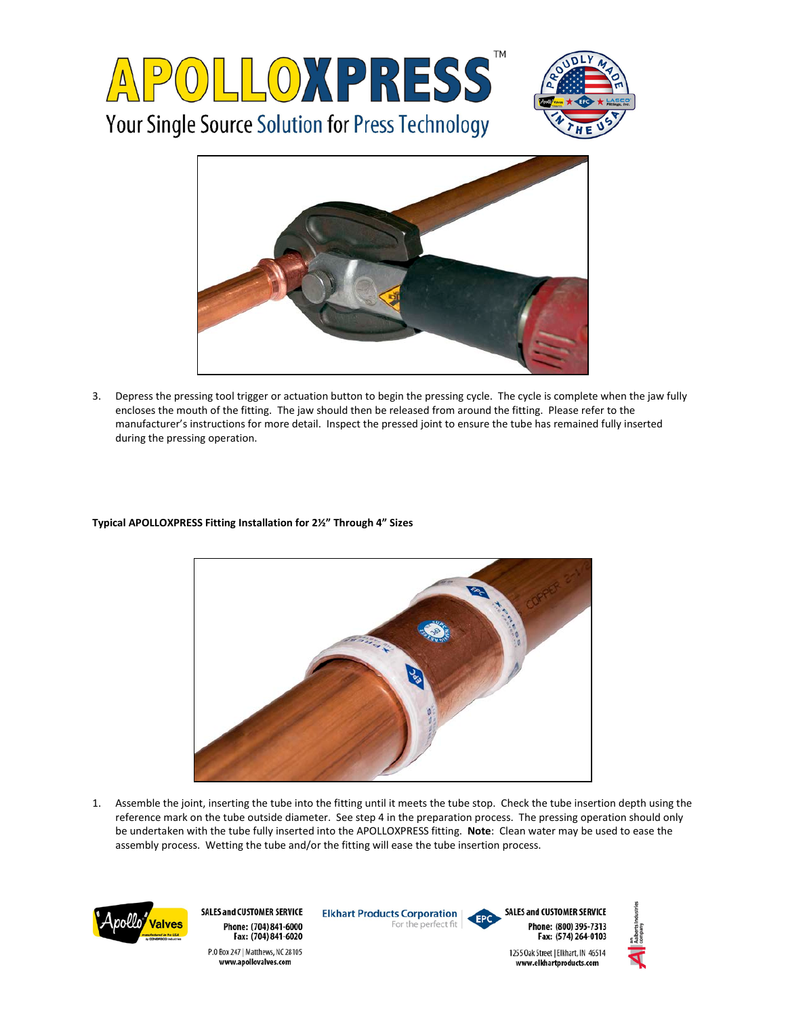



3. Depress the pressing tool trigger or actuation button to begin the pressing cycle. The cycle is complete when the jaw fully encloses the mouth of the fitting. The jaw should then be released from around the fitting. Please refer to the manufacturer's instructions for more detail. Inspect the pressed joint to ensure the tube has remained fully inserted during the pressing operation.

# **Typical APOLLOXPRESS Fitting Installation for 2½" Through 4" Sizes**



1. Assemble the joint, inserting the tube into the fitting until it meets the tube stop. Check the tube insertion depth using the reference mark on the tube outside diameter. See step 4 in the preparation process. The pressing operation should only be undertaken with the tube fully inserted into the APOLLOXPRESS fitting. **Note**: Clean water may be used to ease the assembly process. Wetting the tube and/or the fitting will ease the tube insertion process.



**SALES and CUSTOMER SERVICE** Phone: (704) 841-6000 Fax: (704) 841-6020 P.O Box 247 | Matthews, NC 28105 www.apollovalves.com

**Elkhart Products Corporation** For the perfect fit



**SALES and CUSTOMER SERVICE** Phone: (800) 395-7313 Fax: (574) 264-0103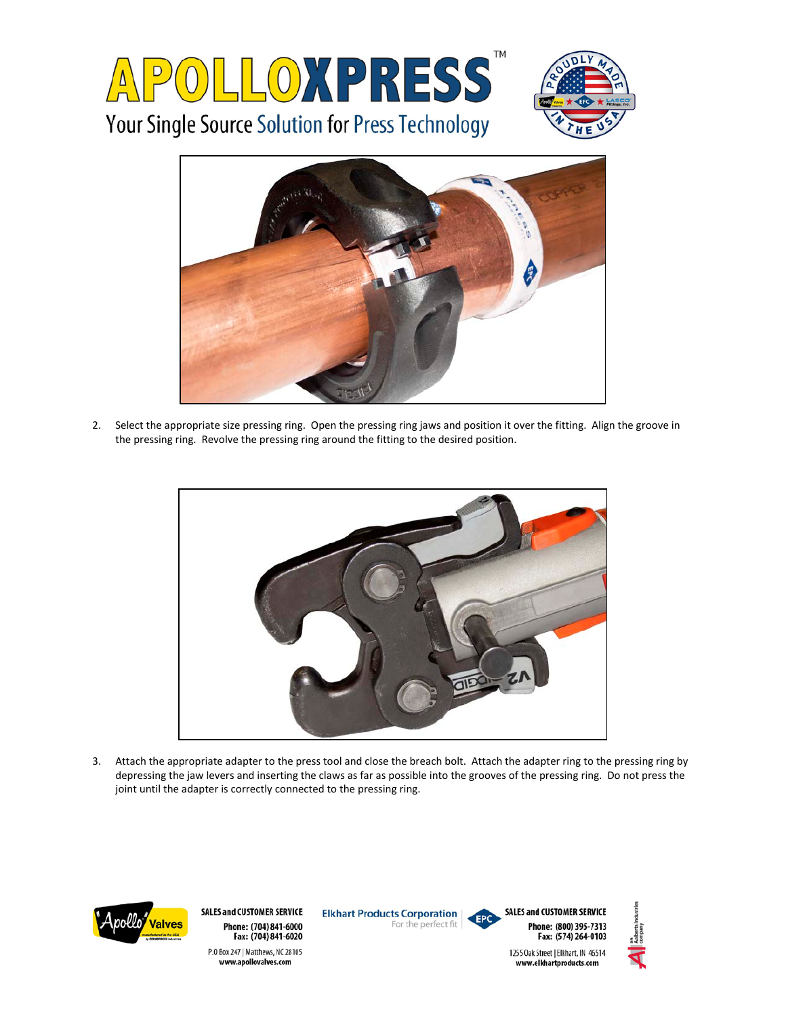



2. Select the appropriate size pressing ring. Open the pressing ring jaws and position it over the fitting. Align the groove in the pressing ring. Revolve the pressing ring around the fitting to the desired position.



3. Attach the appropriate adapter to the press tool and close the breach bolt. Attach the adapter ring to the pressing ring by depressing the jaw levers and inserting the claws as far as possible into the grooves of the pressing ring. Do not press the joint until the adapter is correctly connected to the pressing ring.



**SALES and CUSTOMER SERVICE** Phone: (704) 841-6000 Fax: (704) 841-6020 P.O Box 247 | Matthews, NC 28105 www.apollovalves.com

**Elkhart Products Corporation** For the perfect fit